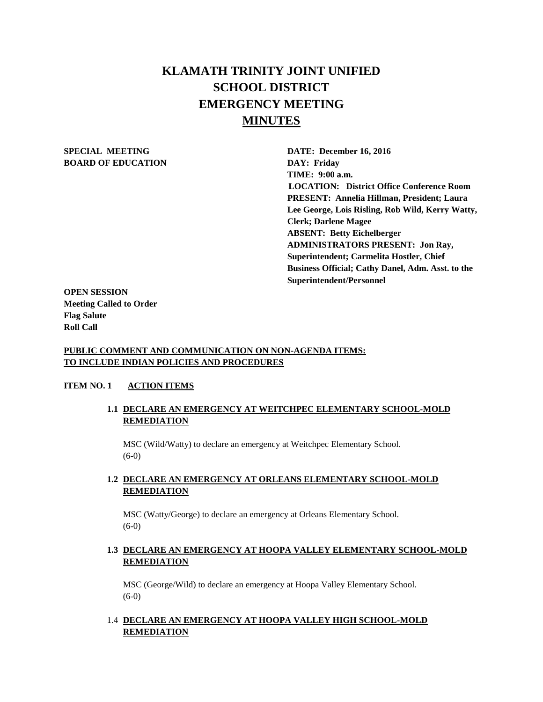# **KLAMATH TRINITY JOINT UNIFIED SCHOOL DISTRICT EMERGENCY MEETING MINUTES**

# **BOARD OF EDUCATION DAY: Friday**

**SPECIAL MEETING DATE: December 16, 2016 TIME: 9:00 a.m. LOCATION: District Office Conference Room PRESENT: Annelia Hillman, President; Laura Lee George, Lois Risling, Rob Wild, Kerry Watty, Clerk; Darlene Magee ABSENT: Betty Eichelberger ADMINISTRATORS PRESENT: Jon Ray, Superintendent; Carmelita Hostler, Chief Business Official; Cathy Danel, Adm. Asst. to the Superintendent/Personnel** 

**OPEN SESSION Meeting Called to Order Flag Salute Roll Call**

#### **PUBLIC COMMENT AND COMMUNICATION ON NON-AGENDA ITEMS: TO INCLUDE INDIAN POLICIES AND PROCEDURES**

#### **ITEM NO. 1 ACTION ITEMS**

# **1.1 DECLARE AN EMERGENCY AT WEITCHPEC ELEMENTARY SCHOOL-MOLD REMEDIATION**

MSC (Wild/Watty) to declare an emergency at Weitchpec Elementary School. (6-0)

#### **1.2 DECLARE AN EMERGENCY AT ORLEANS ELEMENTARY SCHOOL-MOLD REMEDIATION**

MSC (Watty/George) to declare an emergency at Orleans Elementary School. (6-0)

## **1.3 DECLARE AN EMERGENCY AT HOOPA VALLEY ELEMENTARY SCHOOL-MOLD REMEDIATION**

MSC (George/Wild) to declare an emergency at Hoopa Valley Elementary School. (6-0)

### 1.4 **DECLARE AN EMERGENCY AT HOOPA VALLEY HIGH SCHOOL-MOLD REMEDIATION**